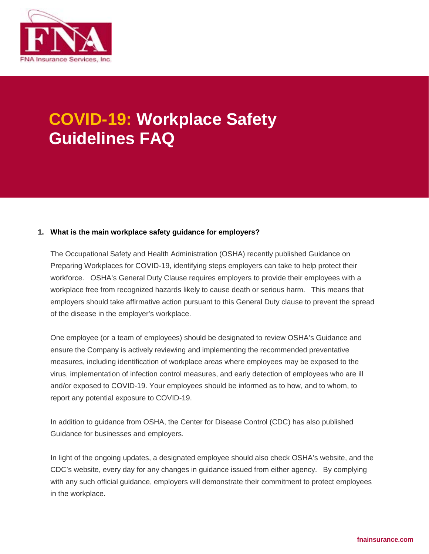

# **COVID-19: Workplace Safety Guidelines FAQ**

#### **1. What is the main workplace safety guidance for employers?**

The Occupational Safety and Health Administration (OSHA) recently published Guidance on Preparing Workplaces for COVID-19, identifying steps employers can take to help protect their workforce. OSHA's General Duty Clause requires employers to provide their employees with a workplace free from recognized hazards likely to cause death or serious harm. This means that employers should take affirmative action pursuant to this General Duty clause to prevent the spread of the disease in the employer's workplace.

One employee (or a team of employees) should be designated to review OSHA's Guidance and ensure the Company is actively reviewing and implementing the recommended preventative measures, including identification of workplace areas where employees may be exposed to the virus, implementation of infection control measures, and early detection of employees who are ill and/or exposed to COVID-19. Your employees should be informed as to how, and to whom, to report any potential exposure to COVID-19.

In addition to guidance from OSHA, the Center for Disease Control (CDC) has also published Guidance for businesses and employers.

In light of the ongoing updates, a designated employee should also check OSHA's website, and the CDC's website, every day for any changes in guidance issued from either agency. By complying with any such official guidance, employers will demonstrate their commitment to protect employees in the workplace.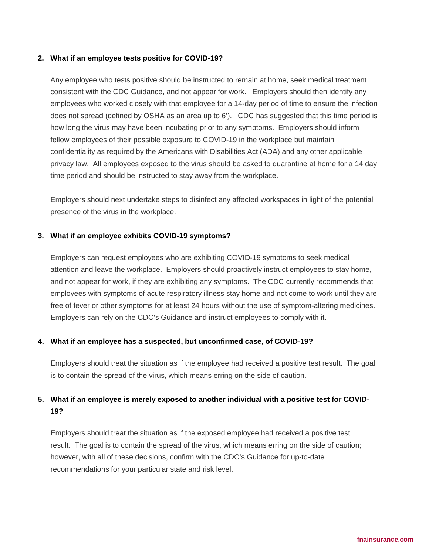#### **2. What if an employee tests positive for COVID-19?**

Any employee who tests positive should be instructed to remain at home, seek medical treatment consistent with the CDC Guidance, and not appear for work. Employers should then identify any employees who worked closely with that employee for a 14-day period of time to ensure the infection does not spread (defined by OSHA as an area up to 6'). CDC has suggested that this time period is how long the virus may have been incubating prior to any symptoms. Employers should inform fellow employees of their possible exposure to COVID-19 in the workplace but maintain confidentiality as required by the Americans with Disabilities Act (ADA) and any other applicable privacy law. All employees exposed to the virus should be asked to quarantine at home for a 14 day time period and should be instructed to stay away from the workplace.

Employers should next undertake steps to disinfect any affected workspaces in light of the potential presence of the virus in the workplace.

#### **3. What if an employee exhibits COVID-19 symptoms?**

Employers can request employees who are exhibiting COVID-19 symptoms to seek medical attention and leave the workplace. Employers should proactively instruct employees to stay home, and not appear for work, if they are exhibiting any symptoms. The CDC currently recommends that employees with symptoms of acute respiratory illness stay home and not come to work until they are free of fever or other symptoms for at least 24 hours without the use of symptom-altering medicines. Employers can rely on the CDC's Guidance and instruct employees to comply with it.

#### **4. What if an employee has a suspected, but unconfirmed case, of COVID-19?**

Employers should treat the situation as if the employee had received a positive test result. The goal is to contain the spread of the virus, which means erring on the side of caution.

### **5. What if an employee is merely exposed to another individual with a positive test for COVID-19?**

Employers should treat the situation as if the exposed employee had received a positive test result. The goal is to contain the spread of the virus, which means erring on the side of caution; however, with all of these decisions, confirm with the CDC's Guidance for up-to-date recommendations for your particular state and risk level.